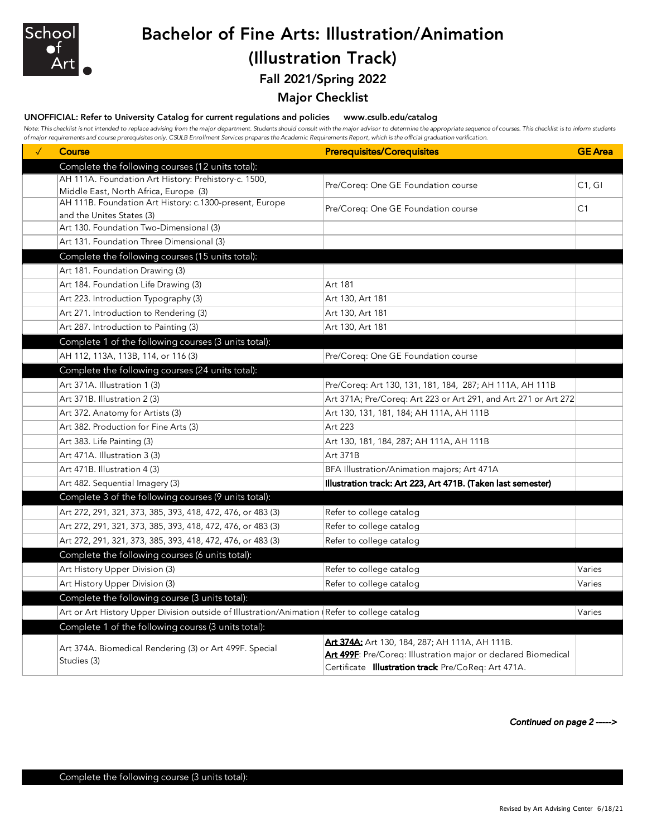

## Bachelor of Fine Arts: Illustration/Animation (Illustration Track)

Fall 2021/Spring 2022

## Major Checklist

UNOFFICIAL: Refer to University Catalog for current regulations and policies www.csulb.edu/catalog

Note: This checklist is not intended to replace advising from the major department. Students should consult with the major advisor to determine the appropriate sequence of courses. This checklist is to inform students *of major requirements and course prerequisites only. CSULB Enrollment Services prepares the Academic Requirements Report, which is the official graduation verification.*

| $\checkmark$ | <b>Course</b>                                                                                    | <b>Prerequisites/Corequisites</b>                               | <b>GE</b> Area      |
|--------------|--------------------------------------------------------------------------------------------------|-----------------------------------------------------------------|---------------------|
|              | Complete the following courses (12 units total):                                                 |                                                                 |                     |
|              | AH 111A. Foundation Art History: Prehistory-c. 1500,                                             | Pre/Coreq: One GE Foundation course                             | C <sub>1</sub> , GI |
|              | Middle East, North Africa, Europe (3)<br>AH 111B. Foundation Art History: c.1300-present, Europe |                                                                 |                     |
|              | and the Unites States (3)                                                                        | Pre/Coreq: One GE Foundation course                             | C <sub>1</sub>      |
|              | Art 130. Foundation Two-Dimensional (3)                                                          |                                                                 |                     |
|              | Art 131. Foundation Three Dimensional (3)                                                        |                                                                 |                     |
|              | Complete the following courses (15 units total):                                                 |                                                                 |                     |
|              | Art 181. Foundation Drawing (3)                                                                  |                                                                 |                     |
|              | Art 184. Foundation Life Drawing (3)                                                             | Art 181                                                         |                     |
|              | Art 223. Introduction Typography (3)                                                             | Art 130, Art 181                                                |                     |
|              | Art 271. Introduction to Rendering (3)                                                           | Art 130, Art 181                                                |                     |
|              | Art 287. Introduction to Painting (3)                                                            | Art 130, Art 181                                                |                     |
|              | Complete 1 of the following courses (3 units total):                                             |                                                                 |                     |
|              | AH 112, 113A, 113B, 114, or 116 (3)                                                              | Pre/Coreq: One GE Foundation course                             |                     |
|              | Complete the following courses (24 units total):                                                 |                                                                 |                     |
|              | Art 371A. Illustration 1 (3)                                                                     | Pre/Coreq: Art 130, 131, 181, 184, 287; AH 111A, AH 111B        |                     |
|              | Art 371B. Illustration 2 (3)                                                                     | Art 371A; Pre/Coreq: Art 223 or Art 291, and Art 271 or Art 272 |                     |
|              | Art 372. Anatomy for Artists (3)                                                                 | Art 130, 131, 181, 184; AH 111A, AH 111B                        |                     |
|              | Art 382. Production for Fine Arts (3)                                                            | Art 223                                                         |                     |
|              | Art 383. Life Painting (3)                                                                       | Art 130, 181, 184, 287; AH 111A, AH 111B                        |                     |
|              | Art 471A. Illustration 3 (3)                                                                     | Art 371B                                                        |                     |
|              | Art 471B. Illustration 4 (3)                                                                     | BFA Illustration/Animation majors; Art 471A                     |                     |
|              | Art 482. Sequential Imagery (3)                                                                  | Illustration track: Art 223, Art 471B. (Taken last semester)    |                     |
|              | Complete 3 of the following courses (9 units total):                                             |                                                                 |                     |
|              | Art 272, 291, 321, 373, 385, 393, 418, 472, 476, or 483 (3)                                      | Refer to college catalog                                        |                     |
|              | Art 272, 291, 321, 373, 385, 393, 418, 472, 476, or 483 (3)                                      | Refer to college catalog                                        |                     |
|              | Art 272, 291, 321, 373, 385, 393, 418, 472, 476, or 483 (3)                                      | Refer to college catalog                                        |                     |
|              | Complete the following courses (6 units total):                                                  |                                                                 |                     |
|              | Art History Upper Division (3)                                                                   | Refer to college catalog                                        | Varies              |
|              | Art History Upper Division (3)                                                                   | Refer to college catalog                                        | Varies              |
|              | Complete the following course (3 units total):                                                   |                                                                 |                     |
|              | Art or Art History Upper Division outside of Illustration/Animation (Refer to college catalog    |                                                                 | Varies              |
|              | Complete 1 of the following courss (3 units total):                                              |                                                                 |                     |
|              |                                                                                                  | <b>Art 374A:</b> Art 130, 184, 287; AH 111A, AH 111B.           |                     |
|              | Art 374A. Biomedical Rendering (3) or Art 499F. Special                                          | Art 499F: Pre/Coreq: Illustration major or declared Biomedical  |                     |
|              | Studies (3)                                                                                      | Certificate Illustration track Pre/CoReq: Art 471A.             |                     |

*Continued on page 2 ----->*